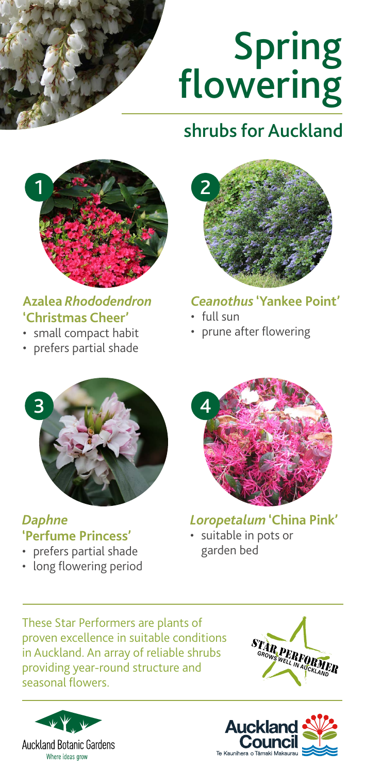

# Spring flowering

# shrubs for Auckland



### **Azalea** *Rhododendron*  **'Christmas Cheer'**

- small compact habit
- prefers partial shade



#### *Ceanothus* **'Yankee Point'**

- full sun
- prune after flowering



#### *Daphne*  **'Perfume Princess'**

- prefers partial shade
- long flowering period



*Loropetalum* **'China Pink'**  • suitable in pots or

garden bed

These Star Performers are plants of proven excellence in suitable conditions in Auckland. An array of reliable shrubs providing year-round structure and seasonal flowers.





**GRANDER PERFORM**